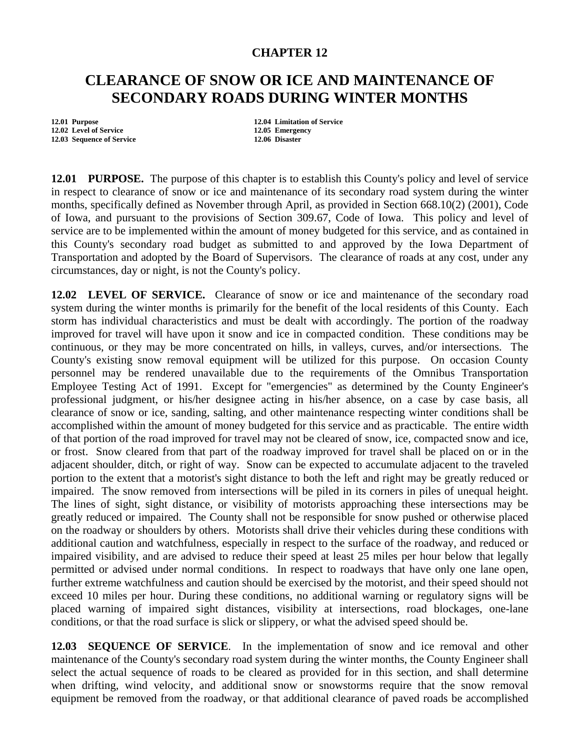## **CHAPTER 12**

## **CLEARANCE OF SNOW OR ICE AND MAINTENANCE OF SECONDARY ROADS DURING WINTER MONTHS**

**12.02 Level of Service 12.05 Emergency 12.05 Emergency 12.05 Emergency 12.06 Disaster 12.03 Sequence of Service** 

**12.01 Purpose 12.04 Limitation of Service** 

**12.01 PURPOSE.** The purpose of this chapter is to establish this County's policy and level of service in respect to clearance of snow or ice and maintenance of its secondary road system during the winter months, specifically defined as November through April, as provided in Section 668.10(2) (2001), Code of Iowa, and pursuant to the provisions of Section 309.67, Code of Iowa. This policy and level of service are to be implemented within the amount of money budgeted for this service, and as contained in this County's secondary road budget as submitted to and approved by the Iowa Department of Transportation and adopted by the Board of Supervisors. The clearance of roads at any cost, under any circumstances, day or night, is not the County's policy.

**12.02 LEVEL OF SERVICE.** Clearance of snow or ice and maintenance of the secondary road system during the winter months is primarily for the benefit of the local residents of this County. Each storm has individual characteristics and must be dealt with accordingly. The portion of the roadway improved for travel will have upon it snow and ice in compacted condition. These conditions may be continuous, or they may be more concentrated on hills, in valleys, curves, and/or intersections. The County's existing snow removal equipment will be utilized for this purpose. On occasion County personnel may be rendered unavailable due to the requirements of the Omnibus Transportation Employee Testing Act of 1991. Except for "emergencies" as determined by the County Engineer's professional judgment, or his/her designee acting in his/her absence, on a case by case basis, all clearance of snow or ice, sanding, salting, and other maintenance respecting winter conditions shall be accomplished within the amount of money budgeted for this service and as practicable. The entire width of that portion of the road improved for travel may not be cleared of snow, ice, compacted snow and ice, or frost. Snow cleared from that part of the roadway improved for travel shall be placed on or in the adjacent shoulder, ditch, or right of way. Snow can be expected to accumulate adjacent to the traveled portion to the extent that a motorist's sight distance to both the left and right may be greatly reduced or impaired. The snow removed from intersections will be piled in its corners in piles of unequal height. The lines of sight, sight distance, or visibility of motorists approaching these intersections may be greatly reduced or impaired. The County shall not be responsible for snow pushed or otherwise placed on the roadway or shoulders by others. Motorists shall drive their vehicles during these conditions with additional caution and watchfulness, especially in respect to the surface of the roadway, and reduced or impaired visibility, and are advised to reduce their speed at least 25 miles per hour below that legally permitted or advised under normal conditions. In respect to roadways that have only one lane open, further extreme watchfulness and caution should be exercised by the motorist, and their speed should not exceed 10 miles per hour. During these conditions, no additional warning or regulatory signs will be placed warning of impaired sight distances, visibility at intersections, road blockages, one-lane conditions, or that the road surface is slick or slippery, or what the advised speed should be.

**12.03 SEQUENCE OF SERVICE**. In the implementation of snow and ice removal and other maintenance of the County's secondary road system during the winter months, the County Engineer shall select the actual sequence of roads to be cleared as provided for in this section, and shall determine when drifting, wind velocity, and additional snow or snowstorms require that the snow removal equipment be removed from the roadway, or that additional clearance of paved roads be accomplished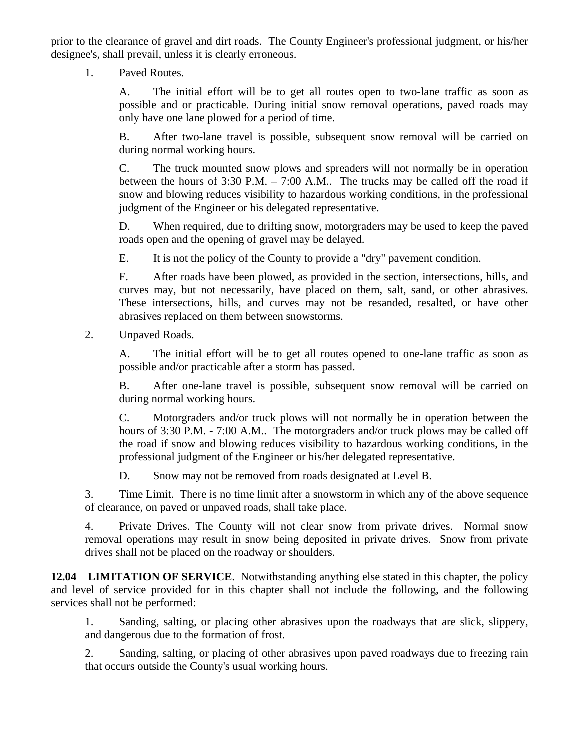prior to the clearance of gravel and dirt roads. The County Engineer's professional judgment, or his/her designee's, shall prevail, unless it is clearly erroneous.

1. Paved Routes.

A. The initial effort will be to get all routes open to two-lane traffic as soon as possible and or practicable. During initial snow removal operations, paved roads may only have one lane plowed for a period of time.

B. After two-lane travel is possible, subsequent snow removal will be carried on during normal working hours.

C. The truck mounted snow plows and spreaders will not normally be in operation between the hours of 3:30 P.M. – 7:00 A.M.. The trucks may be called off the road if snow and blowing reduces visibility to hazardous working conditions, in the professional judgment of the Engineer or his delegated representative.

D. When required, due to drifting snow, motorgraders may be used to keep the paved roads open and the opening of gravel may be delayed.

E. It is not the policy of the County to provide a "dry" pavement condition.

F. After roads have been plowed, as provided in the section, intersections, hills, and curves may, but not necessarily, have placed on them, salt, sand, or other abrasives. These intersections, hills, and curves may not be resanded, resalted, or have other abrasives replaced on them between snowstorms.

2. Unpaved Roads.

A. The initial effort will be to get all routes opened to one-lane traffic as soon as possible and/or practicable after a storm has passed.

B. After one-lane travel is possible, subsequent snow removal will be carried on during normal working hours.

C. Motorgraders and/or truck plows will not normally be in operation between the hours of 3:30 P.M. - 7:00 A.M.. The motorgraders and/or truck plows may be called off the road if snow and blowing reduces visibility to hazardous working conditions, in the professional judgment of the Engineer or his/her delegated representative.

D. Snow may not be removed from roads designated at Level B.

3. Time Limit. There is no time limit after a snowstorm in which any of the above sequence of clearance, on paved or unpaved roads, shall take place.

4. Private Drives. The County will not clear snow from private drives. Normal snow removal operations may result in snow being deposited in private drives. Snow from private drives shall not be placed on the roadway or shoulders.

**12.04 LIMITATION OF SERVICE.** Notwithstanding anything else stated in this chapter, the policy and level of service provided for in this chapter shall not include the following, and the following services shall not be performed:

1. Sanding, salting, or placing other abrasives upon the roadways that are slick, slippery, and dangerous due to the formation of frost.

2. Sanding, salting, or placing of other abrasives upon paved roadways due to freezing rain that occurs outside the County's usual working hours.